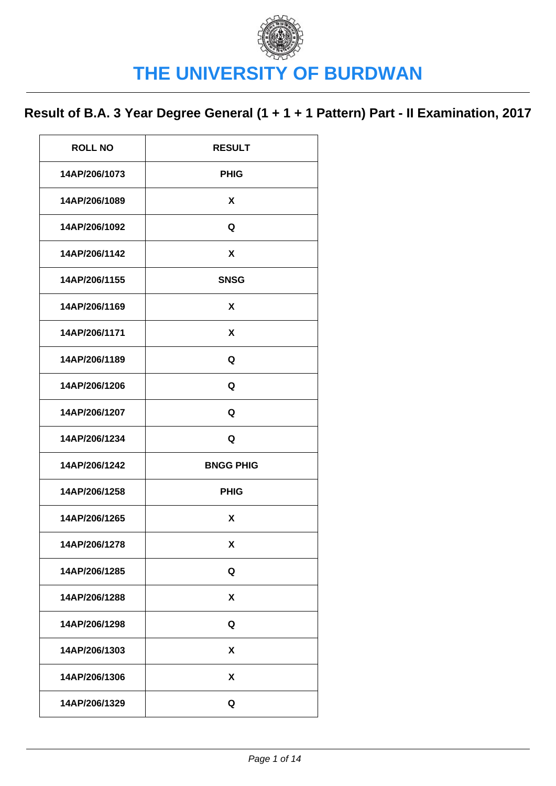| <b>ROLL NO</b> | <b>RESULT</b>    |
|----------------|------------------|
| 14AP/206/1073  | <b>PHIG</b>      |
| 14AP/206/1089  | X                |
| 14AP/206/1092  | Q                |
| 14AP/206/1142  | X                |
| 14AP/206/1155  | <b>SNSG</b>      |
| 14AP/206/1169  | X                |
| 14AP/206/1171  | X                |
| 14AP/206/1189  | Q                |
| 14AP/206/1206  | Q                |
| 14AP/206/1207  | Q                |
| 14AP/206/1234  | Q                |
| 14AP/206/1242  | <b>BNGG PHIG</b> |
| 14AP/206/1258  | <b>PHIG</b>      |
| 14AP/206/1265  | X                |
| 14AP/206/1278  | X                |
| 14AP/206/1285  | Q                |
| 14AP/206/1288  | X                |
| 14AP/206/1298  | Q                |
| 14AP/206/1303  | X                |
| 14AP/206/1306  | X                |
| 14AP/206/1329  | Q                |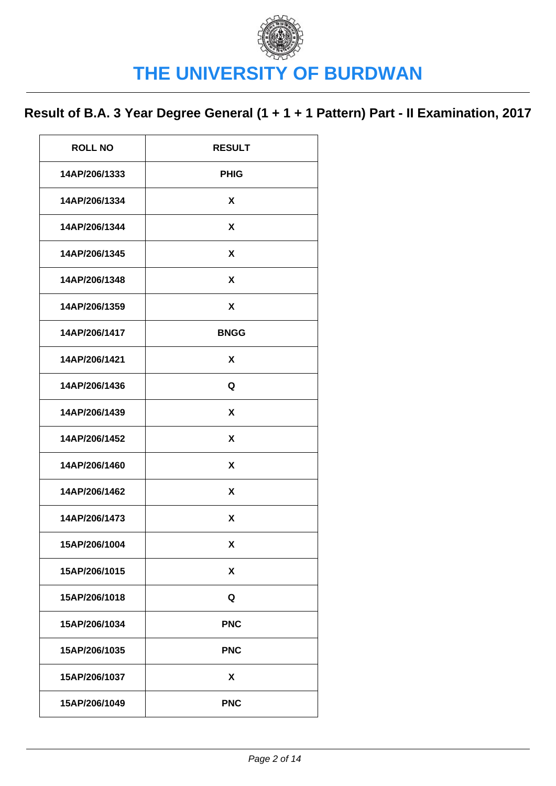| <b>ROLL NO</b> | <b>RESULT</b> |
|----------------|---------------|
| 14AP/206/1333  | <b>PHIG</b>   |
| 14AP/206/1334  | X             |
| 14AP/206/1344  | X             |
| 14AP/206/1345  | X             |
| 14AP/206/1348  | X             |
| 14AP/206/1359  | X             |
| 14AP/206/1417  | <b>BNGG</b>   |
| 14AP/206/1421  | X             |
| 14AP/206/1436  | Q             |
| 14AP/206/1439  | X             |
| 14AP/206/1452  | X             |
| 14AP/206/1460  | X             |
| 14AP/206/1462  | X             |
| 14AP/206/1473  | X             |
| 15AP/206/1004  | X             |
| 15AP/206/1015  | X             |
| 15AP/206/1018  | Q             |
| 15AP/206/1034  | <b>PNC</b>    |
| 15AP/206/1035  | <b>PNC</b>    |
| 15AP/206/1037  | X             |
| 15AP/206/1049  | <b>PNC</b>    |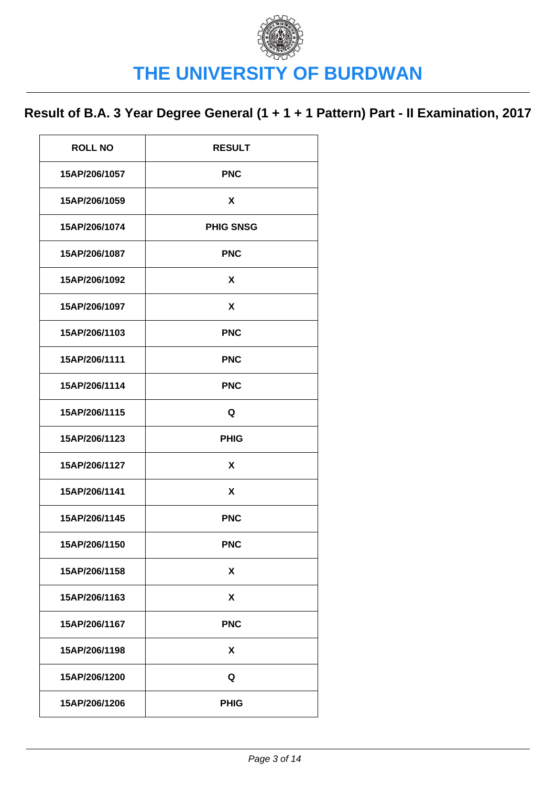| <b>ROLL NO</b> | <b>RESULT</b>    |
|----------------|------------------|
| 15AP/206/1057  | <b>PNC</b>       |
| 15AP/206/1059  | X                |
| 15AP/206/1074  | <b>PHIG SNSG</b> |
| 15AP/206/1087  | <b>PNC</b>       |
| 15AP/206/1092  | X                |
| 15AP/206/1097  | X                |
| 15AP/206/1103  | <b>PNC</b>       |
| 15AP/206/1111  | <b>PNC</b>       |
| 15AP/206/1114  | <b>PNC</b>       |
| 15AP/206/1115  | Q                |
| 15AP/206/1123  | <b>PHIG</b>      |
| 15AP/206/1127  | X                |
| 15AP/206/1141  | X                |
| 15AP/206/1145  | <b>PNC</b>       |
| 15AP/206/1150  | <b>PNC</b>       |
| 15AP/206/1158  | X                |
| 15AP/206/1163  | X                |
| 15AP/206/1167  | <b>PNC</b>       |
| 15AP/206/1198  | X                |
| 15AP/206/1200  | Q                |
| 15AP/206/1206  | <b>PHIG</b>      |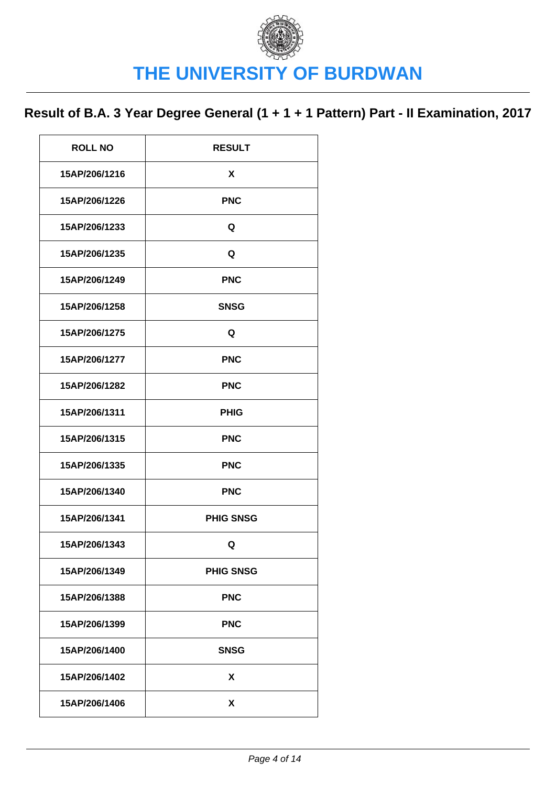| <b>ROLL NO</b> | <b>RESULT</b>    |
|----------------|------------------|
| 15AP/206/1216  | X                |
| 15AP/206/1226  | <b>PNC</b>       |
| 15AP/206/1233  | Q                |
| 15AP/206/1235  | Q                |
| 15AP/206/1249  | <b>PNC</b>       |
| 15AP/206/1258  | <b>SNSG</b>      |
| 15AP/206/1275  | Q                |
| 15AP/206/1277  | <b>PNC</b>       |
| 15AP/206/1282  | <b>PNC</b>       |
| 15AP/206/1311  | <b>PHIG</b>      |
| 15AP/206/1315  | <b>PNC</b>       |
| 15AP/206/1335  | <b>PNC</b>       |
| 15AP/206/1340  | <b>PNC</b>       |
| 15AP/206/1341  | <b>PHIG SNSG</b> |
| 15AP/206/1343  | Q                |
| 15AP/206/1349  | <b>PHIG SNSG</b> |
| 15AP/206/1388  | <b>PNC</b>       |
| 15AP/206/1399  | <b>PNC</b>       |
| 15AP/206/1400  | <b>SNSG</b>      |
| 15AP/206/1402  | X                |
| 15AP/206/1406  | X                |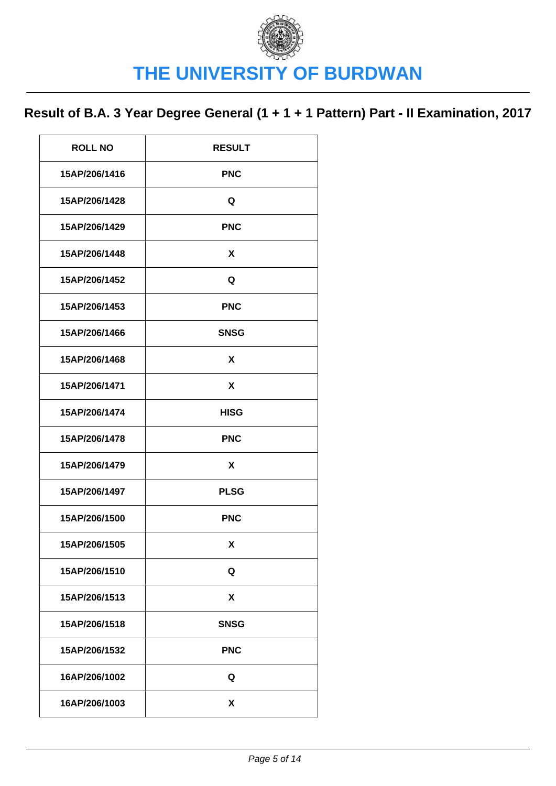| <b>ROLL NO</b> | <b>RESULT</b> |
|----------------|---------------|
| 15AP/206/1416  | <b>PNC</b>    |
| 15AP/206/1428  | Q             |
| 15AP/206/1429  | <b>PNC</b>    |
| 15AP/206/1448  | X             |
| 15AP/206/1452  | Q             |
| 15AP/206/1453  | <b>PNC</b>    |
| 15AP/206/1466  | <b>SNSG</b>   |
| 15AP/206/1468  | X             |
| 15AP/206/1471  | X             |
| 15AP/206/1474  | <b>HISG</b>   |
| 15AP/206/1478  | <b>PNC</b>    |
| 15AP/206/1479  | X             |
| 15AP/206/1497  | <b>PLSG</b>   |
| 15AP/206/1500  | <b>PNC</b>    |
| 15AP/206/1505  | X             |
| 15AP/206/1510  | Q             |
| 15AP/206/1513  | X             |
| 15AP/206/1518  | <b>SNSG</b>   |
| 15AP/206/1532  | <b>PNC</b>    |
| 16AP/206/1002  | Q             |
| 16AP/206/1003  | X             |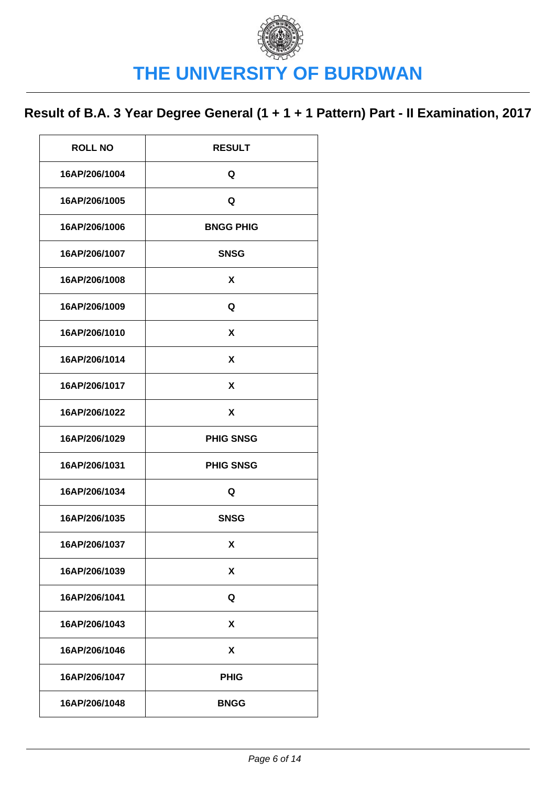| <b>ROLL NO</b> | <b>RESULT</b>    |
|----------------|------------------|
| 16AP/206/1004  | Q                |
| 16AP/206/1005  | Q                |
| 16AP/206/1006  | <b>BNGG PHIG</b> |
| 16AP/206/1007  | <b>SNSG</b>      |
| 16AP/206/1008  | X                |
| 16AP/206/1009  | Q                |
| 16AP/206/1010  | X                |
| 16AP/206/1014  | X                |
| 16AP/206/1017  | X                |
| 16AP/206/1022  | X                |
|                |                  |
| 16AP/206/1029  | <b>PHIG SNSG</b> |
| 16AP/206/1031  | <b>PHIG SNSG</b> |
| 16AP/206/1034  | Q                |
| 16AP/206/1035  | <b>SNSG</b>      |
| 16AP/206/1037  | X                |
| 16AP/206/1039  | X                |
| 16AP/206/1041  | Q                |
| 16AP/206/1043  | X                |
| 16AP/206/1046  | X                |
| 16AP/206/1047  | <b>PHIG</b>      |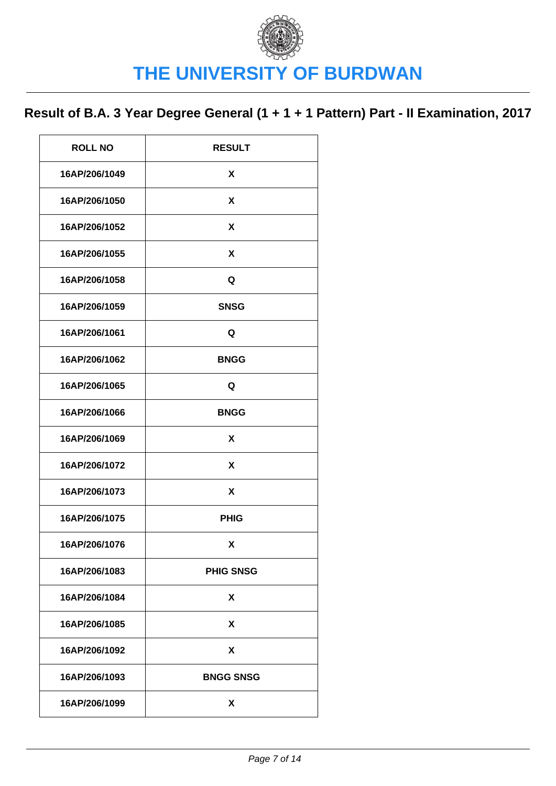| <b>ROLL NO</b> | <b>RESULT</b>    |
|----------------|------------------|
| 16AP/206/1049  | X                |
| 16AP/206/1050  | X                |
| 16AP/206/1052  | X                |
| 16AP/206/1055  | X                |
| 16AP/206/1058  | Q                |
| 16AP/206/1059  | <b>SNSG</b>      |
| 16AP/206/1061  | Q                |
| 16AP/206/1062  | <b>BNGG</b>      |
| 16AP/206/1065  | Q                |
| 16AP/206/1066  | <b>BNGG</b>      |
| 16AP/206/1069  | X                |
| 16AP/206/1072  | X                |
| 16AP/206/1073  | X                |
| 16AP/206/1075  | <b>PHIG</b>      |
| 16AP/206/1076  | X                |
| 16AP/206/1083  | <b>PHIG SNSG</b> |
| 16AP/206/1084  | X                |
| 16AP/206/1085  | X                |
| 16AP/206/1092  | X                |
| 16AP/206/1093  | <b>BNGG SNSG</b> |
| 16AP/206/1099  | X                |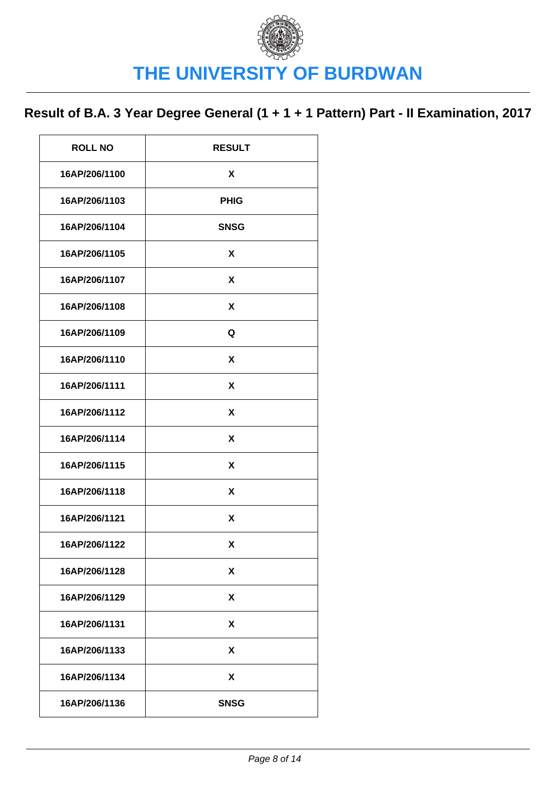| <b>ROLL NO</b> | <b>RESULT</b> |
|----------------|---------------|
| 16AP/206/1100  | X             |
| 16AP/206/1103  | <b>PHIG</b>   |
| 16AP/206/1104  | <b>SNSG</b>   |
| 16AP/206/1105  | X             |
| 16AP/206/1107  | X             |
| 16AP/206/1108  | X             |
| 16AP/206/1109  | Q             |
| 16AP/206/1110  | X             |
| 16AP/206/1111  | X             |
| 16AP/206/1112  | X             |
| 16AP/206/1114  | X             |
| 16AP/206/1115  | X             |
| 16AP/206/1118  | X             |
| 16AP/206/1121  | X             |
| 16AP/206/1122  | X             |
| 16AP/206/1128  | X             |
| 16AP/206/1129  | X             |
| 16AP/206/1131  | X             |
| 16AP/206/1133  | X             |
| 16AP/206/1134  | X             |
| 16AP/206/1136  | <b>SNSG</b>   |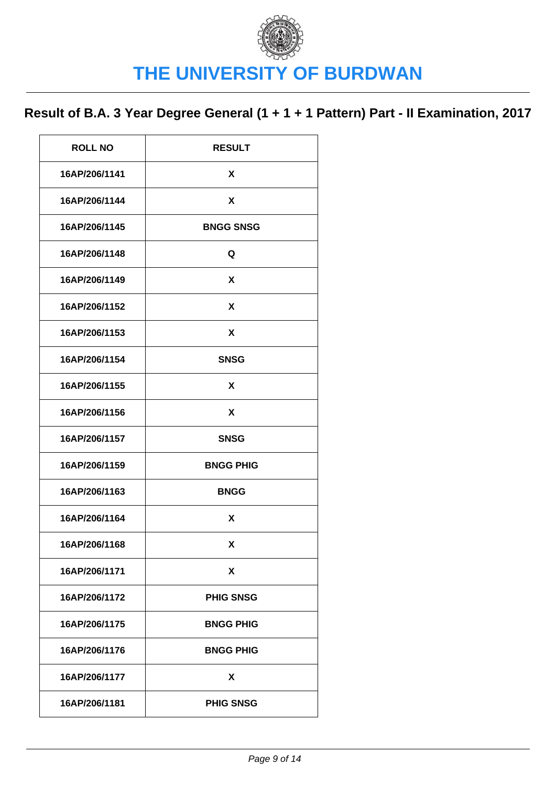| <b>ROLL NO</b> | <b>RESULT</b>    |
|----------------|------------------|
| 16AP/206/1141  | X                |
| 16AP/206/1144  | X                |
| 16AP/206/1145  | <b>BNGG SNSG</b> |
| 16AP/206/1148  | Q                |
| 16AP/206/1149  | X                |
| 16AP/206/1152  | X                |
| 16AP/206/1153  | X                |
| 16AP/206/1154  | <b>SNSG</b>      |
| 16AP/206/1155  | X                |
| 16AP/206/1156  | X                |
| 16AP/206/1157  | <b>SNSG</b>      |
| 16AP/206/1159  | <b>BNGG PHIG</b> |
| 16AP/206/1163  | <b>BNGG</b>      |
| 16AP/206/1164  | X                |
| 16AP/206/1168  | X                |
| 16AP/206/1171  | X                |
| 16AP/206/1172  | <b>PHIG SNSG</b> |
| 16AP/206/1175  | <b>BNGG PHIG</b> |
| 16AP/206/1176  | <b>BNGG PHIG</b> |
| 16AP/206/1177  | X                |
| 16AP/206/1181  | <b>PHIG SNSG</b> |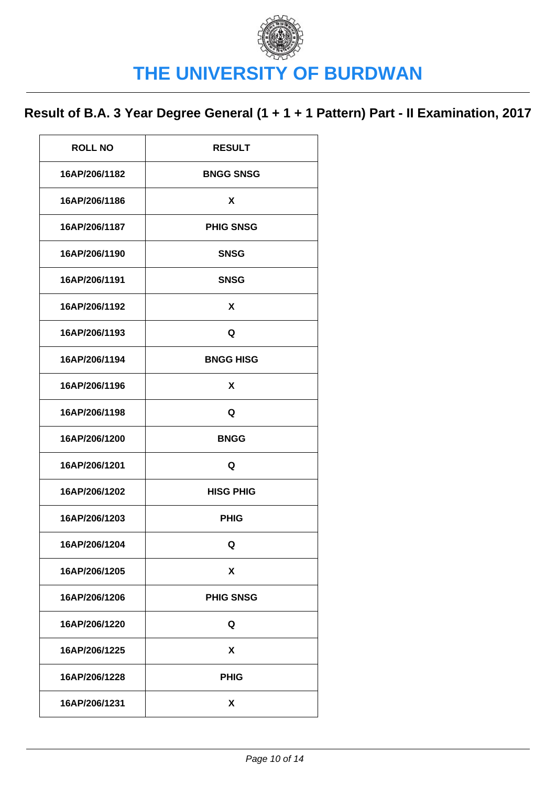| <b>ROLL NO</b> | <b>RESULT</b>    |
|----------------|------------------|
| 16AP/206/1182  | <b>BNGG SNSG</b> |
| 16AP/206/1186  | X                |
| 16AP/206/1187  | <b>PHIG SNSG</b> |
| 16AP/206/1190  | <b>SNSG</b>      |
| 16AP/206/1191  | <b>SNSG</b>      |
| 16AP/206/1192  | X                |
| 16AP/206/1193  | Q                |
| 16AP/206/1194  | <b>BNGG HISG</b> |
| 16AP/206/1196  | X                |
| 16AP/206/1198  | Q                |
| 16AP/206/1200  | <b>BNGG</b>      |
| 16AP/206/1201  | Q                |
| 16AP/206/1202  | <b>HISG PHIG</b> |
| 16AP/206/1203  | <b>PHIG</b>      |
| 16AP/206/1204  | Q                |
| 16AP/206/1205  | X                |
| 16AP/206/1206  | <b>PHIG SNSG</b> |
| 16AP/206/1220  | Q                |
| 16AP/206/1225  | X                |
| 16AP/206/1228  | <b>PHIG</b>      |
| 16AP/206/1231  | X                |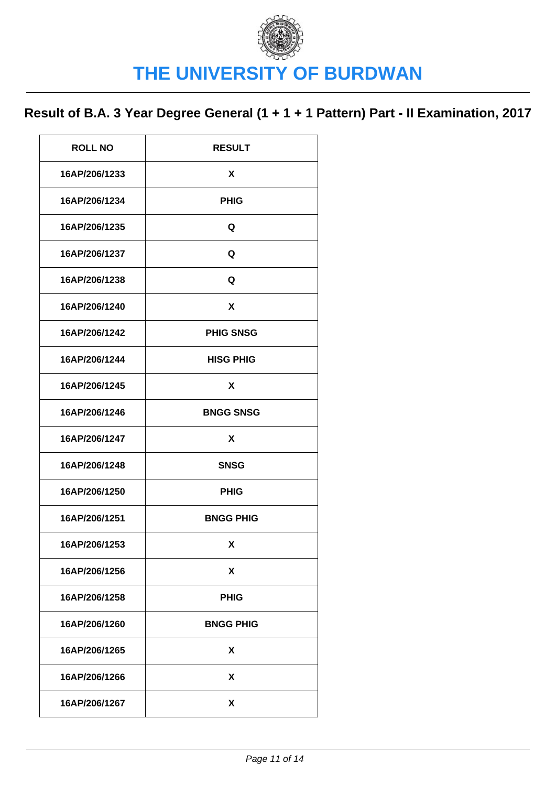| <b>ROLL NO</b> | <b>RESULT</b>    |
|----------------|------------------|
| 16AP/206/1233  | X                |
| 16AP/206/1234  | <b>PHIG</b>      |
| 16AP/206/1235  | Q                |
| 16AP/206/1237  | Q                |
| 16AP/206/1238  | Q                |
| 16AP/206/1240  | X                |
| 16AP/206/1242  | <b>PHIG SNSG</b> |
| 16AP/206/1244  | <b>HISG PHIG</b> |
| 16AP/206/1245  | X                |
| 16AP/206/1246  | <b>BNGG SNSG</b> |
|                |                  |
| 16AP/206/1247  | X                |
| 16AP/206/1248  | <b>SNSG</b>      |
| 16AP/206/1250  | <b>PHIG</b>      |
| 16AP/206/1251  | <b>BNGG PHIG</b> |
| 16AP/206/1253  | X                |
| 16AP/206/1256  | X                |
| 16AP/206/1258  | <b>PHIG</b>      |
| 16AP/206/1260  | <b>BNGG PHIG</b> |
| 16AP/206/1265  | X                |
| 16AP/206/1266  | X                |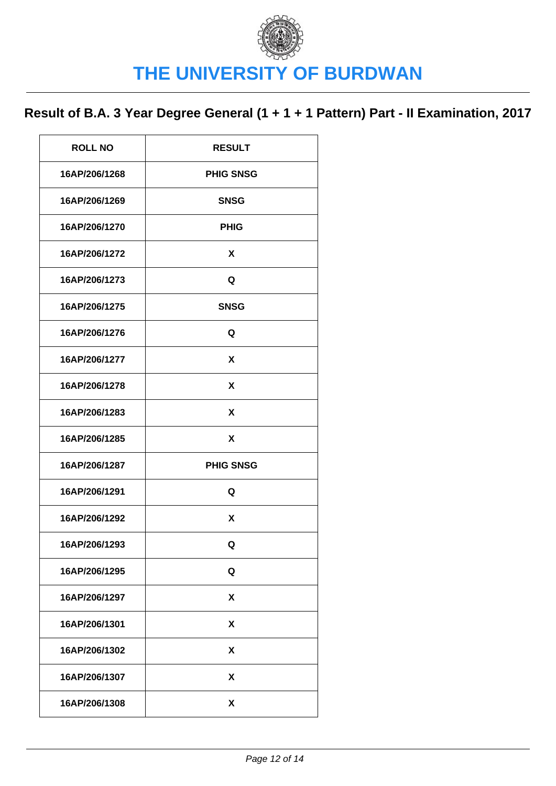| <b>ROLL NO</b> | <b>RESULT</b>    |
|----------------|------------------|
| 16AP/206/1268  | <b>PHIG SNSG</b> |
| 16AP/206/1269  | <b>SNSG</b>      |
| 16AP/206/1270  | <b>PHIG</b>      |
| 16AP/206/1272  | X                |
| 16AP/206/1273  | Q                |
| 16AP/206/1275  | <b>SNSG</b>      |
| 16AP/206/1276  | Q                |
| 16AP/206/1277  | X                |
| 16AP/206/1278  | X                |
| 16AP/206/1283  | X                |
| 16AP/206/1285  | X                |
| 16AP/206/1287  | <b>PHIG SNSG</b> |
| 16AP/206/1291  | Q                |
| 16AP/206/1292  | X                |
| 16AP/206/1293  | Q                |
| 16AP/206/1295  | Q                |
| 16AP/206/1297  | X                |
| 16AP/206/1301  | X                |
| 16AP/206/1302  | X                |
| 16AP/206/1307  | χ                |
| 16AP/206/1308  | X                |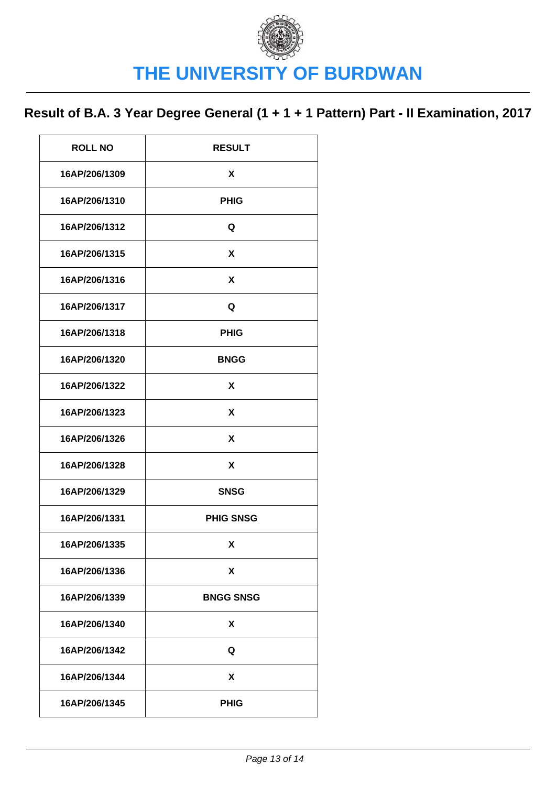| <b>ROLL NO</b> | <b>RESULT</b>    |
|----------------|------------------|
| 16AP/206/1309  | X                |
| 16AP/206/1310  | <b>PHIG</b>      |
| 16AP/206/1312  | Q                |
| 16AP/206/1315  | X                |
| 16AP/206/1316  | X                |
| 16AP/206/1317  | Q                |
| 16AP/206/1318  | <b>PHIG</b>      |
| 16AP/206/1320  | <b>BNGG</b>      |
| 16AP/206/1322  | X                |
| 16AP/206/1323  | X                |
| 16AP/206/1326  | X                |
| 16AP/206/1328  | X                |
| 16AP/206/1329  | <b>SNSG</b>      |
| 16AP/206/1331  | <b>PHIG SNSG</b> |
| 16AP/206/1335  | X                |
| 16AP/206/1336  | X                |
| 16AP/206/1339  | <b>BNGG SNSG</b> |
| 16AP/206/1340  | X                |
| 16AP/206/1342  | Q                |
| 16AP/206/1344  | X                |
| 16AP/206/1345  | <b>PHIG</b>      |